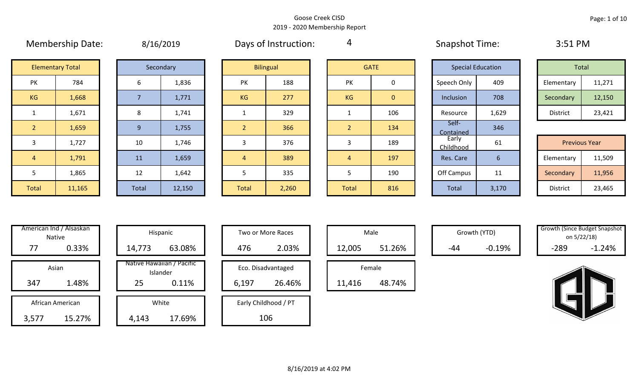4

# Membership Date:  $\mu$  8/16/2019 Membership Days of Instruction:  $\mu$  and Snapshot Time: 3:51 PM **Elementary Total**

| <b>Elementary Total</b> |        |  |       | Secondary |  | <b>Bilingual</b> |       |  |                | <b>GATE</b>    |                    | <b>Special Education</b> | Total                |        |
|-------------------------|--------|--|-------|-----------|--|------------------|-------|--|----------------|----------------|--------------------|--------------------------|----------------------|--------|
| PK                      | 784    |  | 6     | 1,836     |  | PK               | 188   |  | PK             | 0              | Speech Only        | 409                      | Elementary           | 11,271 |
| KG                      | 1,668  |  |       | 1,771     |  | KG               | 277   |  | KG             | $\overline{0}$ | Inclusion          | 708                      | Secondary            | 12,150 |
| 1                       | 1,671  |  | 8     | 1,741     |  |                  | 329   |  |                | 106            | Resource           | 1,629                    | District             | 23,421 |
| 2 <sup>1</sup>          | 1,659  |  | 9     | 1,755     |  | $\overline{2}$   | 366   |  | $\overline{2}$ | 134            | Self-<br>Contained | 346                      |                      |        |
| $\overline{3}$          | 1,727  |  | 10    | 1,746     |  | 3                | 376   |  | 3              | 189            | Early<br>Childhood | 61                       | <b>Previous Year</b> |        |
| $\overline{4}$          | 1,791  |  | 11    | 1,659     |  | $\overline{4}$   | 389   |  | 4              | 197            | Res. Care          | 6 <sup>1</sup>           | Elementary           | 11,509 |
| 5                       | 1,865  |  | 12    | 1,642     |  |                  | 335   |  |                | 190            | Off Campus         | 11                       | Secondary            | 11,956 |
| Total                   | 11,165 |  | Total | 12,150    |  | Total            | 2,260 |  | Total          | 816            | Total              | 3,170                    | District             | 23,465 |

|                | <b>Bilingual</b> |                | <b>GATE</b> |
|----------------|------------------|----------------|-------------|
| PK             | 188              | PK             |             |
| KG             | 277              | KG             |             |
| $\mathbf{1}$   | 329              | 1              |             |
| $\overline{2}$ | 366              | $\overline{2}$ |             |
| 3              | 376              | 3              |             |
| 4              | 389              | $\overline{4}$ |             |
| 5              | 335              | 5              |             |
| <b>Total</b>   | 2,260            | <b>Total</b>   |             |

|                | <b>GATE</b>    |
|----------------|----------------|
| PK             | 0              |
| KG             | $\overline{0}$ |
| 1              | 106            |
| $\overline{2}$ | 134            |
| 3              | 189            |
| 4              | 197            |
| 5              | 190            |
| <b>Total</b>   | 816            |

| <b>Special Education</b> |       | <b>Total</b>    |                      |
|--------------------------|-------|-----------------|----------------------|
| Speech Only              | 409   | Elementary      | 11,271               |
| Inclusion                | 708   | Secondary       | 12,150               |
| Resource                 | 1,629 | <b>District</b> | 23,421               |
| Self-<br>Contained       | 346   |                 |                      |
| Early<br>Childhood       | 61    |                 | <b>Previous Year</b> |
| Res. Care                | 6     | Elementary      | 11,509               |
| Off Campus               | 11    | Secondary       | 11,956               |
| Total                    | 3,170 | <b>District</b> | 23,465               |

| Total      |        |  |  |  |  |  |  |  |  |  |  |
|------------|--------|--|--|--|--|--|--|--|--|--|--|
| Elementary | 11,271 |  |  |  |  |  |  |  |  |  |  |
| Secondary  | 12,150 |  |  |  |  |  |  |  |  |  |  |
| District   | 23,421 |  |  |  |  |  |  |  |  |  |  |

|                 | <b>Previous Year</b> |
|-----------------|----------------------|
| Elementary      | 11,509               |
| Secondary       | 11,956               |
| <b>District</b> | 23,465               |

|       | American Ind / Alsaskan<br><b>Native</b> | Hispani                    |
|-------|------------------------------------------|----------------------------|
| 77    | 0.33%                                    | 14,773                     |
|       | Asian                                    | Native Hawaiiai<br>Islande |
| 347   | 1.48%                                    | 25                         |
|       | African American                         | White                      |
| 3,577 | 15.27%                                   | 4,143                      |

| American Ind / Alsaskan<br>Native |                      |  | Hispanic | Two or More Races                     |                 |     |                      |        | Male   |        | Growth (YTD) | <b>Growth (Since Budget Snapsh</b><br>on 5/22/18) |        |          |
|-----------------------------------|----------------------|--|----------|---------------------------------------|-----------------|-----|----------------------|--------|--------|--------|--------------|---------------------------------------------------|--------|----------|
| 77                                | 0.33%                |  | 14,773   | 63.08%                                |                 | 476 | 2.03%                |        | 12,005 | 51.26% | $-44$        | $-0.19%$                                          | $-289$ | $-1.24%$ |
| Asian                             |                      |  |          | Native Hawaiian / Pacific<br>Islander |                 |     | Eco. Disadvantaged   |        |        | Female |              |                                                   |        |          |
| 347                               | 1.48%<br>25<br>0.11% |  |          |                                       | 26.46%<br>6,197 |     |                      | 11,416 | 48.74% |        |              |                                                   |        |          |
| African American                  |                      |  |          | White                                 |                 |     | Early Childhood / PT |        |        |        |              |                                                   |        |          |
| 3,577                             | 15.27%               |  | 4,143    | 17.69%                                |                 |     | 106                  |        |        |        |              |                                                   |        |          |

| Hispanic                       |       | Two or More Races    |  |        | Male   |  |
|--------------------------------|-------|----------------------|--|--------|--------|--|
| 63.08%                         | 476   | 12,005               |  |        |        |  |
| lawaiian / Pacific<br>Islander |       | Eco. Disadvantaged   |  |        | Female |  |
| 0.11%                          | 6,197 | 26.46%               |  | 11,416 |        |  |
| White                          |       | Early Childhood / PT |  |        |        |  |
| 17.69%                         |       | 106                  |  |        |        |  |

| Male   |        |  |  |  |  |  |  |  |  |  |  |  |
|--------|--------|--|--|--|--|--|--|--|--|--|--|--|
| 12,005 | 51.26% |  |  |  |  |  |  |  |  |  |  |  |
| Female |        |  |  |  |  |  |  |  |  |  |  |  |
| .416   | .74%   |  |  |  |  |  |  |  |  |  |  |  |

| <b>Growth (Since Budget Snapshot</b> |          |  |  |  |  |  |  |  |  |  |
|--------------------------------------|----------|--|--|--|--|--|--|--|--|--|
| on 5/22/18)                          |          |  |  |  |  |  |  |  |  |  |
| -289                                 | $-1.24%$ |  |  |  |  |  |  |  |  |  |

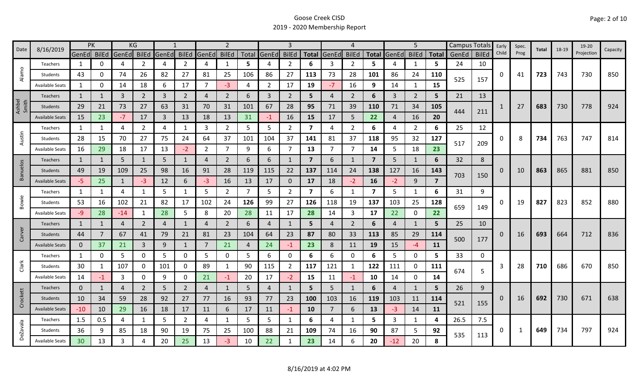|                 | 8/16/2019              | <b>PK</b>       |              | KG           |                |                |                | $\overline{2}$ |                |     |                | 4              |                |                | 5              |                         | Campus Totals  |                | Early        | Spec. | Total        | 18-19    | 19-20 |     |            |            |            |
|-----------------|------------------------|-----------------|--------------|--------------|----------------|----------------|----------------|----------------|----------------|-----|----------------|----------------|----------------|----------------|----------------|-------------------------|----------------|----------------|--------------|-------|--------------|----------|-------|-----|------------|------------|------------|
| Date            |                        | GenEd BilEd     |              | GenEd        | <b>BilEd</b>   | GenEd          | <b>BilEd</b>   | GenEd          | <b>BilEd</b>   |     | Total GenEd    | <b>BilEd</b>   | <b>Total</b>   | GenEd          | <b>BilEd</b>   | <b>Total</b>            | GenEd          | <b>BilEd</b>   | <b>Total</b> | GenEd | <b>BilEd</b> | Child    | Prog  |     |            | Projection | Capacity   |
|                 | Teachers               | 1               | 0            | 4            | 2              | 4              | $\overline{2}$ | 4              | $\mathbf{1}$   | 5   | 4              | $\overline{2}$ | 6              | 3              | $\overline{2}$ | 5                       |                | 1              | 5.           | 24    | 10           |          |       |     |            |            |            |
| Alamo           | Students               | 43              | 0            | 74           | 26             | 82             | 27             | 81             | 25             | 106 | 86             | 27             | 113            | 73             | 28             | 101                     | 86             | 24             | 110          | 525   | 157          | 0        | 41    | 723 | 743        | 730        | 850        |
|                 | <b>Available Seats</b> | 1               | 0            | 14           | 18             | 6              | 17             | 7              | $-3$           | 4   | $\overline{2}$ | 17             | 19             | $-7$           | 16             | 9                       | 14             | 1              | 15           |       |              |          |       |     |            |            |            |
|                 | Teachers               | 1               |              | 3            | $\overline{2}$ | $\overline{3}$ | $\overline{2}$ | 4              | $\overline{2}$ | 6   | 3              | $\overline{2}$ | 5              | $\overline{4}$ | 2              | 6                       | 3              | $\overline{2}$ | 5            | 21    | 13           |          |       |     |            |            |            |
| Ashbel<br>Smith | <b>Students</b>        | 29              | 21           | 73           | 27             | 63             | 31             | 70             | 31             | 101 | 67             | 28             | 95             | 71             | 39             | 110                     | 71             | 34             | 105          | 444   | 211          |          | 27    | 683 | 730        | 778        | 924        |
|                 | <b>Available Seats</b> | 15              | 23           | $-7$         | 17             | 3              | 13             | 18             | 13             | 31  | $-1$           | 16             | 15             | 17             | 5              | 22                      | $\overline{4}$ | 16             | 20           |       |              |          |       |     |            |            |            |
|                 | Teachers               | 1               | 1            | 4            | $\overline{2}$ | 4              | $\mathbf{1}$   | 3              | $\overline{2}$ | 5   | 5              | $\overline{2}$ | 7              | 4              | $\overline{2}$ | 6                       | 4              | $\overline{2}$ | 6            | 25    | 12           |          |       |     |            |            |            |
| Austin          | Students               | 28              | 15           | 70           | 27             | 75             | 24             | 64             | 37             | 101 | 104            | 37             | 141            | 81             | 37             | 118                     | 95             | 32             | 127          | 517   | 209          | 0        | 8     | 734 | 763        | 747        | 814        |
|                 | <b>Available Seats</b> | 16              | 29           | 18           | 17             | 13             | $-2$           | $\overline{2}$ | $\overline{7}$ | 9   | 6              |                | 13             | $\overline{7}$ | $\overline{7}$ | 14                      | 5              | 18             | 23           |       |              |          |       |     |            |            |            |
|                 | Teachers               | $\mathbf{1}$    | 1            | 5            | $\mathbf{1}$   | 5              | $\mathbf{1}$   | 4              | $\overline{2}$ | 6   | 6              |                | $\overline{7}$ | 6              | 1              | $\overline{7}$          | 5              | 1              | 32<br>6      | 8     |              |          |       |     |            |            |            |
| <b>Banuelos</b> | Students               | 49              | 19           | 109          | 25             | 98             | 16             | 91             | 28             | 119 | 115            | 22             | 137            | 114            | 24             | 138                     | 127            | 16             | 143          |       |              | 0        | 10    | 863 | 865        | 881        | 850        |
|                 | <b>Available Seats</b> | $-5$            | 25           | $\mathbf{1}$ | $-3$           | 12             | 6              | -3             | 16             | 13  | 17             | 0              | 17             | 18             | $-2$           | 16                      | $-2$           | 9              | 7            | 703   | 150          |          |       |     |            |            |            |
|                 | Teachers               | 1               | $\mathbf{1}$ | 4            | 1              | 5              | 1              | 5              | $\overline{2}$ | 7   | 5              | $\overline{2}$ | $\overline{7}$ | 6              | -1             | $\overline{\mathbf{z}}$ | 5              | 1              | 6            | 31    | 9            |          |       |     | 823        | 852<br>712 | 880<br>836 |
| Bowie           | Students               | 53              | 16           | 102          | 21             | 82             | 17             | 102            | 24             | 126 | 99             | 27             | 126            | 118            | 19             | 137                     | 103            | 25             | 128          |       | 0<br>149     |          | 19    | 827 |            |            |            |
|                 | <b>Available Seats</b> | -9              | 28           | $-14$        | 1              | 28             | 5              | 8              | 20             | 28  | 11             | 17             | 28             | 14             | 3              | 17                      | 22             | 0              | 22           | 659   |              |          |       |     |            |            |            |
|                 | Teachers               | $\mathbf{1}$    | $\mathbf{1}$ | 4            | $\overline{2}$ | $\overline{4}$ | $\mathbf{1}$   | 4              | $\overline{2}$ | 6   | 4              |                | 5              | 4              | 2              | 6                       | $\overline{4}$ | $\mathbf{1}$   | 5            | 25    | 10           |          |       |     |            |            |            |
| Carver          | <b>Students</b>        | 44              | 7            | 67           | 41             | 79             | 21             | 81             | 23             | 104 | 64             | 23             | 87             | 80             | 33             | 113                     | 85             | 29             | 114          |       |              | $\Omega$ | 16    | 693 | 664        |            |            |
|                 | <b>Available Seats</b> | $\mathbf 0$     | 37           | 21           | $\overline{3}$ | 9              | $\mathbf{1}$   | 7              | 21             | 4   | 24             | $-1$           | 23             | 8              | 11             | 19                      | 15             | $-4$           | 11           | 500   | 177          |          |       |     |            |            |            |
|                 | Teachers               | 1               | 0            | 5            | 0              | 5              | 0              | 5              | 0              | 5   | 6              | 0              | 6              | 6              | 0              | 6                       | 5              | $\mathbf 0$    | 5            | 33    | 0            |          |       |     |            |            |            |
| Clark           | Students               | 30              | 1            | 107          | 0              | 101            | 0              | 89             | 1              | 90  | 115            | $\overline{2}$ | 117            | 121            | $\mathbf{1}$   | 122                     | 111            | $\mathbf 0$    | 111          | 674   | 5            | 3        | 28    | 710 | 686        | 670        | 850        |
|                 | <b>Available Seats</b> | 14              | -1           | 3            | 0              | 9              | 0              | 21             | $-1$           | 20  | 17             | $-2$           | 15             | 11             | $-1$           | 10                      | 14             | 0              | 14           |       |              |          |       |     |            |            |            |
|                 | Teachers               | $\mathbf{0}$    | 1            | 4            | $\overline{2}$ | 5              | $\overline{2}$ | 4              | $\mathbf{1}$   | 5   | 4              |                | 5              | 5              | $\mathbf{1}$   | 6                       | 4              | 1              | 5.           | 26    | 9            |          |       |     |            |            |            |
| Crockett        | Students               | 10              | 34           | 59           | 28             | 92             | 27             | 77             | 16             | 93  | 77             | 23             | 100            | 103            | 16             | 119                     | 103            | 11             | 114          | 521   | 155          | 0        | 16    | 692 | 730        | 671        | 638        |
|                 | <b>Available Seats</b> | $-10$           | 10           | 29           | 16             | 18             | 17             | 11             | 6              | 17  | 11             | $-1$           | 10             | $\overline{7}$ | 6              | 13                      | $-3$           | 14             | <b>11</b>    |       |              |          |       |     |            |            |            |
|                 | Teachers               | 1.5             | 0.5          | 4            | 1              | 5              | $\overline{2}$ | 4              | 1              | 5   | 5              | 1              | 6              | 4              | -1             | 5.                      | 3              | 1              | 4            | 26.5  | 7.5          | 0        |       |     |            |            | 924        |
| <b>DeZavala</b> | Students               | 36              | 9            | 85           | 18             | 90             | 19             | 75             | 25             | 100 | 88             | 21             | 109            | 74             | 16             | 90                      | 87             | 5              | 92           | 535   |              |          | 1     | 649 | 797<br>734 |            |            |
|                 | <b>Available Seats</b> | 30 <sub>o</sub> | 13           | 3            |                | 20             | 25             | 13             | $-3$           | 10  | 22             |                | 23             | 14             | 6              | 20                      | $-12$          | 20             | 8            |       | 113          |          |       |     |            |            |            |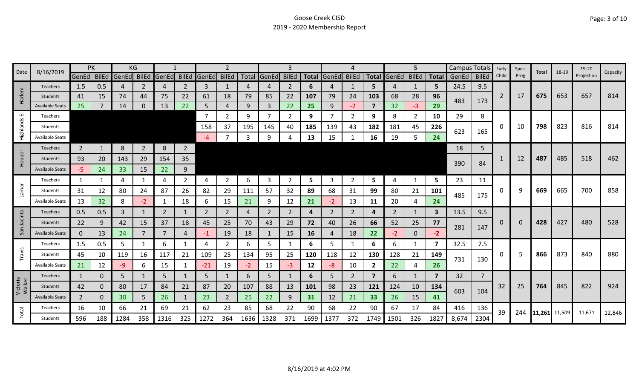| Date               | 8/16/2019              |                | PK  |                         | ΚG             |       |                |                |                |      |                |                |      |             |                |                |                   | 5              |              | Campus Totals |                | Early          | Spec.    | Total         | 18-19 | 19-20      | Capacity |
|--------------------|------------------------|----------------|-----|-------------------------|----------------|-------|----------------|----------------|----------------|------|----------------|----------------|------|-------------|----------------|----------------|-------------------|----------------|--------------|---------------|----------------|----------------|----------|---------------|-------|------------|----------|
|                    |                        |                |     | GenEd BilEd GenEd BilEd |                | GenEd |                | BilEd GenEd    | <b>BilEd</b>   |      | Total GenEd    | <b>BilEd</b>   |      | Total GenEd | <b>BilEd</b>   |                | Total GenEd BilEd |                | <b>Total</b> | GenEd         | <b>BilEd</b>   | Child          | Prog     |               |       | Projection |          |
|                    | <b>Teachers</b>        | 1.5            | 0.5 | 4                       | 2              | 4     | 2              | 3              | 1              |      | 4              | 2              | 6    | 4           | 1              | 5.             | 4                 | 1              | 5            | 24.5          | 9.5            |                |          |               |       |            |          |
| arlem              | <b>Students</b>        | 41             | 15  | 74                      | 44             | 75    | 22             | 61             | 18             | 79   | 85             | 22             | 107  | 79          | 24             | 103            | 68                | 28             | 96           | 483           | 173            | $\overline{2}$ | 17       | 675           | 653   | 657        | 814      |
| I                  | <b>Available Seats</b> | 25             |     | 14                      | 0              | 13    | 22             | 5              | $\overline{4}$ | 9    | $\overline{3}$ | 22             | 25   | 9           | $-2$           | $\overline{7}$ | 32                | $-3$           | 29           |               |                |                |          |               |       |            |          |
| ш                  | Teachers               |                |     |                         |                |       |                |                | 2              | 9    | $\overline{7}$ | 2              | 9    |             | 2              | 9              | 8                 | $\overline{2}$ | 10           | 29            | 8              |                |          |               |       |            |          |
| Highlands          | Students               |                |     |                         |                |       |                | 158            | 37             | 195  | 145            | 40             | 185  | 139         | 43             | 182            | 181               | 45             | 226          | 623           | 165            | 0              | 10       | 798           | 823   | 816        | 814      |
|                    | Available Seats        |                |     |                         |                |       |                | $-4$           | $\overline{7}$ | 3    | 9              |                | 13   | 15          |                | 16             | 19                | 5              | 24           |               |                |                |          |               |       |            |          |
|                    | Teachers               | $\overline{2}$ |     | 8                       | $\overline{2}$ | 8     | $\overline{2}$ |                |                |      |                |                |      |             |                |                |                   |                |              | 18            | 5              |                |          |               |       |            |          |
| Hopper             | Students               | 93             | 20  | 143                     | 29             | 154   | 35             |                |                |      |                |                |      |             |                |                |                   |                |              | 390           | 84             |                | 12       | 487           | 485   | 518        | 462      |
|                    | <b>Available Seats</b> | $-5$           | 24  | 33                      | 15             | 22    | 9              |                |                |      |                |                |      |             |                |                |                   |                |              |               |                |                |          |               |       |            |          |
|                    | <b>Teachers</b>        | 1              |     | 4                       | 1              | 4     | $\overline{2}$ | 4              | $\overline{2}$ | 6    | $\overline{3}$ | $\overline{2}$ | 5    | 3           | $\overline{2}$ | 5              | 4                 | $\mathbf{1}$   | 5            | 23            | 11             |                |          |               |       |            |          |
| Lamar              | Students               | 31             | 12  | 80                      | 24             | 87    | 26             | 82             | 29             | 111  | 57             | 32             | 89   | 68          | 31             | 99             | 80                | 21             | 101          |               |                | 0              | q        | 669           | 665   | 700        | 858      |
|                    | Available Seat         | 13             | 32  | 8                       | $-2$           |       | 18             | 6              | 15             | 21   | 9              | 12             | 21   | -2.         | 13             | 11             | 20                | 4              | 24           | 485           | 175            |                |          |               |       |            |          |
|                    | <b>Teachers</b>        | 0.5            | 0.5 | 3                       | 1              | 2     | $\mathbf{1}$   | $\overline{2}$ | $\overline{2}$ | 4    | $\overline{2}$ | 2              | 4    | 2           | $\overline{2}$ | 4              | 2                 | $\mathbf{1}$   | 3            | 13.5          | 9.5            |                |          |               |       |            |          |
| Jacinto            | <b>Students</b>        | 22             | 9   | 42                      | 15             | 37    | 18             | 45             | 25             | 70   | 43             | 29             | 72   | 40          | 26             | 66             | 52                | 25             | 77           |               |                | 0              | $\Omega$ | 428           | 427   | 480        | 528      |
| San                | <b>Available Seats</b> | $\mathbf 0$    | 13  | 24                      | 7              | 7     | 4              | $-1$           | 19             | 18   | $\mathbf{1}$   | 15             | 16   | 4           | 18             | 22             | $-2$              | $\mathbf 0$    | $-2$         | 281           | 147            |                |          |               |       |            |          |
|                    | Teachers               | 1.5            | 0.5 | 5                       |                | 6     | -1             | 4              | $\overline{2}$ | 6    | 5.             |                | 6    | 5.          |                | 6              | 6                 | 1              | 7            | 32.5          | 7.5            |                |          |               |       |            |          |
| Travis             | Students               | 45             | 10  | 119                     | 16             | 117   | 21             | 109            | 25             | 134  | 95             | 25             | 120  | 118         | 12             | 130            | 128               | 21             | 149          |               |                | 0              |          | 866           | 873   | 840        | 880      |
|                    | Available Seats        | 21             | 12  | -9                      | 6              | 15    |                | $-21$          | 19             | $-2$ | 15             | -3             | 12   | -8          | 10             | $\overline{2}$ | 22                | 4              | 26           | 731           | 130            |                |          |               |       |            |          |
|                    | Teachers               | $\mathbf{1}$   | 0   | 5                       | 1              | 5     |                | 5              | $\mathbf{1}$   | 6    | 5              |                | 6    | 5.          | $\overline{2}$ | $\overline{7}$ | 6                 | $\mathbf{1}$   | 7            | 32            | $\overline{7}$ |                |          |               |       |            |          |
| Victoria<br>Walker | Students               | 42             | 0   | 80                      | 17             | 84    | 21             | 87             | 20             | 107  | 88             | 13             | 101  | 98          | 23             | 121            | 124               | 10             | 134          | 603           |                | 32             | 25       | 764           | 845   | 822        | 924      |
|                    | <b>Available Seats</b> | $\overline{2}$ | 0   | 30                      | 5              | 26    | 1              | 23             | $\overline{2}$ | 25   | 22             | 9              | 31   | 12          | 21             | 33             | 26                | 15             | 41           |               | 104            |                |          |               |       |            |          |
|                    | Teachers               | 16             | 10  | 66                      | 21             | 69    | 21             | 62             | 23             | 85   | 68             | 22             | 90   | 68          | 22             | 90             | 67                | 17             | 84           | 416           | 136            | 39             | 244      |               |       | 11,671     | 12,846   |
| Total              | Students               | 596            | 188 | 1284                    | 358            | 1316  | 325            | 1272           | 364            | 1636 | 1328           | 371            | 1699 | 1377        | 372            | 1749           | 1501              | 326            | 1827         | 8,674         | 2304           |                |          | 11,261 11,509 |       |            |          |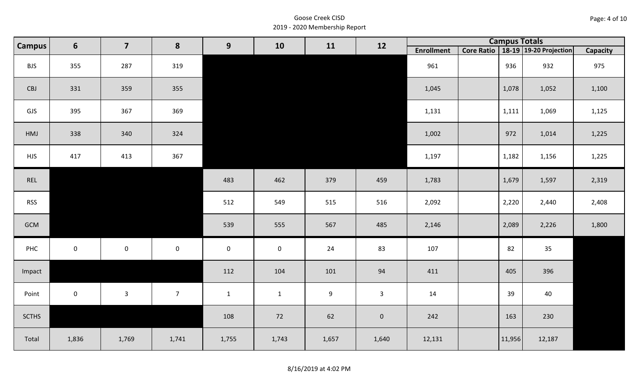| Page: 4 of 10 |  |
|---------------|--|
|---------------|--|

|              | $6\phantom{1}$<br>Campus | $\overline{\mathbf{z}}$ | 8               | 9            | 10           | 11               | 12                  |                   | <b>Campus Totals</b> |                                       |                 |
|--------------|--------------------------|-------------------------|-----------------|--------------|--------------|------------------|---------------------|-------------------|----------------------|---------------------------------------|-----------------|
|              |                          |                         |                 |              |              |                  |                     | <b>Enrollment</b> |                      | Core Ratio   18-19   19-20 Projection | <b>Capacity</b> |
| <b>BJS</b>   | 355                      | 287                     | 319             |              |              |                  |                     | 961               | 936                  | 932                                   | 975             |
| CBJ          | 331                      | 359                     | 355             |              |              |                  |                     | 1,045             | 1,078                | 1,052                                 | 1,100           |
| GJS          | 395                      | 367                     | 369             |              |              |                  |                     | 1,131             | 1,111                | 1,069                                 | 1,125           |
| HMJ          | 338                      | 340                     | 324             |              |              |                  |                     | 1,002             | 972                  | 1,014                                 | 1,225           |
| <b>HJS</b>   | 417                      | 413                     | 367             |              |              |                  |                     | 1,197             | 1,182                | 1,156                                 | 1,225           |
| REL          |                          |                         |                 | 483          | 462          | 379              | 459                 | 1,783             | 1,679                | 1,597                                 | 2,319           |
| <b>RSS</b>   |                          |                         |                 | 512          | 549          | 515              | 516                 | 2,092             | 2,220                | 2,440                                 | 2,408           |
| GCM          |                          |                         |                 | 539          | 555          | 567              | 485                 | 2,146             | 2,089                | 2,226                                 | 1,800           |
| PHC          | $\mathsf 0$              | $\mathbf 0$             | $\mathbf 0$     | $\mathbf 0$  | $\mathbf 0$  | 24               | 83                  | 107               | 82                   | 35                                    |                 |
| Impact       |                          |                         |                 | 112          | 104          | 101              | 94                  | 411               | 405                  | 396                                   |                 |
| Point        | $\mathsf{O}\xspace$      | $\mathbf{3}$            | $7\overline{ }$ | $\mathbf{1}$ | $\mathbf{1}$ | $\boldsymbol{9}$ | 3 <sup>1</sup>      | 14                | 39                   | 40                                    |                 |
| <b>SCTHS</b> |                          |                         |                 | 108          | 72           | 62               | $\mathsf{O}\xspace$ | 242               | 163                  | 230                                   |                 |
| Total        | 1,836                    | 1,769                   | 1,741           | 1,755        | 1,743        | 1,657            | 1,640               | 12,131            | 11,956               | 12,187                                |                 |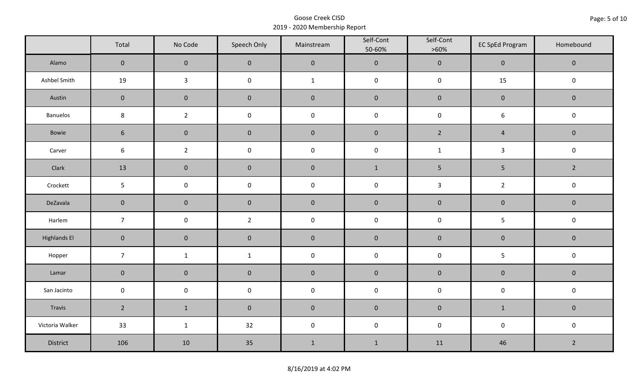|                     | Total               | No Code        | Speech Only    | Mainstream   | Self-Cont<br>50-60% | Self-Cont<br>$>60\%$ | <b>EC SpEd Program</b> | Homebound      |
|---------------------|---------------------|----------------|----------------|--------------|---------------------|----------------------|------------------------|----------------|
| Alamo               | $\overline{0}$      | $\mathbf{0}$   | $\mathbf{0}$   | $\pmb{0}$    | $\pmb{0}$           | $\pmb{0}$            | $\mathbf 0$            | $\mathbf 0$    |
| Ashbel Smith        | 19                  | $\mathbf{3}$   | $\mathsf 0$    | $\mathbf{1}$ | $\pmb{0}$           | $\pmb{0}$            | 15                     | $\pmb{0}$      |
| Austin              | $\mathbf 0$         | $\mathbf 0$    | $\mathbf 0$    | $\pmb{0}$    | $\pmb{0}$           | $\pmb{0}$            | $\pmb{0}$              | $\mathbf 0$    |
| <b>Banuelos</b>     | $\bf 8$             | $\overline{2}$ | $\pmb{0}$      | $\pmb{0}$    | $\pmb{0}$           | $\pmb{0}$            | $\boldsymbol{6}$       | $\pmb{0}$      |
| Bowie               | $6\phantom{1}$      | $\mathbf 0$    | $\mathbf{0}$   | $\mathbf 0$  | $\mathbf 0$         | $2^{\circ}$          | $\overline{4}$         | $\mathbf 0$    |
| Carver              | $\sqrt{6}$          | $\overline{2}$ | $\pmb{0}$      | $\pmb{0}$    | $\pmb{0}$           | $\mathbf{1}$         | $\mathbf{3}$           | $\pmb{0}$      |
| Clark               | 13                  | $\mathbf{0}$   | $\mathbf 0$    | $\pmb{0}$    | $1\,$               | $5\phantom{.0}$      | $\overline{5}$         | $\overline{2}$ |
| Crockett            | 5                   | $\mathsf 0$    | $\pmb{0}$      | $\pmb{0}$    | $\pmb{0}$           | $\mathbf{3}$         | $\overline{2}$         | $\pmb{0}$      |
| DeZavala            | $\mathbf 0$         | $\mathbf 0$    | $\mathbf 0$    | $\pmb{0}$    | $\pmb{0}$           | $\pmb{0}$            | $\pmb{0}$              | $\pmb{0}$      |
| Harlem              | $\overline{7}$      | $\pmb{0}$      | $\overline{2}$ | $\pmb{0}$    | $\pmb{0}$           | $\pmb{0}$            | 5                      | $\pmb{0}$      |
| <b>Highlands El</b> | $\mathbf 0$         | $\mathbf 0$    | $\mathbf 0$    | $\pmb{0}$    | $\pmb{0}$           | $\pmb{0}$            | $\pmb{0}$              | $\mathbf 0$    |
| Hopper              | $\overline{7}$      | $\mathbf{1}$   | $\mathbf{1}$   | $\pmb{0}$    | $\pmb{0}$           | $\pmb{0}$            | 5                      | $\pmb{0}$      |
| Lamar               | $\mathbf 0$         | $\mathbf 0$    | $\mathbf 0$    | $\pmb{0}$    | $\pmb{0}$           | $\pmb{0}$            | $\pmb{0}$              | $\pmb{0}$      |
| San Jacinto         | $\mathsf{O}\xspace$ | $\pmb{0}$      | $\pmb{0}$      | $\pmb{0}$    | $\pmb{0}$           | $\pmb{0}$            | $\pmb{0}$              | $\pmb{0}$      |
| Travis              | $\overline{2}$      | $1\,$          | $\mathbf 0$    | $\pmb{0}$    | $\pmb{0}$           | $\pmb{0}$            | $\mathbf{1}$           | $\mathbf 0$    |
| Victoria Walker     | 33                  | $\mathbf{1}$   | 32             | $\pmb{0}$    | $\pmb{0}$           | $\pmb{0}$            | $\pmb{0}$              | $\pmb{0}$      |
| District            | 106                 | 10             | 35             | $\mathbf 1$  | $\mathbf 1$         | 11                   | 46                     | $\overline{2}$ |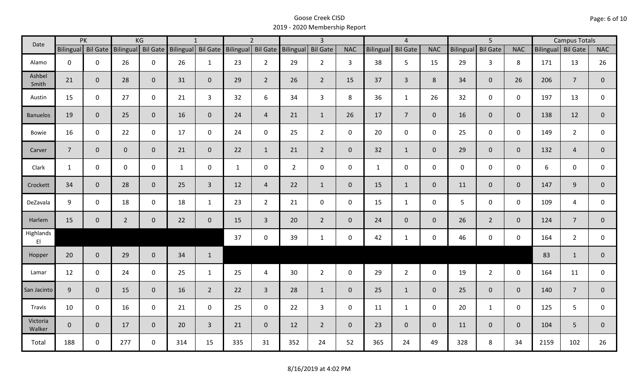| Date                                |                    | PK           |                    | KG           |                    | $\mathbf{1}$   |                    | $\overline{2}$ |                | $\overline{3}$  |              |                  | $\overline{4}$  |                |             | $\overline{5}$  |                |      | <b>Campus Totals</b> |                |
|-------------------------------------|--------------------|--------------|--------------------|--------------|--------------------|----------------|--------------------|----------------|----------------|-----------------|--------------|------------------|-----------------|----------------|-------------|-----------------|----------------|------|----------------------|----------------|
|                                     | Bilingual Bil Gate |              | Bilingual Bil Gate |              | Bilingual Bil Gate |                | Bilingual Bil Gate |                | Bilingual      | <b>Bil Gate</b> | <b>NAC</b>   | <b>Bilingual</b> | <b>Bil Gate</b> | <b>NAC</b>     | Bilingual   | <b>Bil Gate</b> | <b>NAC</b>     |      | Bilingual Bil Gate   | <b>NAC</b>     |
| Alamo                               | $\mathbf 0$        | $\mathbf 0$  | 26                 | $\mathbf 0$  | 26                 | $\mathbf{1}$   | 23                 | $2^{\circ}$    | 29             | $2^{\circ}$     | 3            | 38               | 5               | 15             | 29          | $\mathbf{3}$    | 8              | 171  | 13                   | 26             |
| Ashbel<br>Smith                     | 21                 | $\mathbf 0$  | 28                 | $\mathbf{0}$ | 31                 | $\mathbf{0}$   | 29                 | $\overline{2}$ | 26             | $\overline{2}$  | 15           | 37               | $\overline{3}$  | 8              | 34          | $\overline{0}$  | 26             | 206  | $\overline{7}$       | $\mathbf{0}$   |
| Austin                              | 15                 | $\mathbf 0$  | 27                 | $\mathbf 0$  | 21                 | $\overline{3}$ | 32                 | 6              | 34             | $\overline{3}$  | 8            | 36               | $\mathbf{1}$    | 26             | 32          | $\mathbf 0$     | $\mathbf 0$    | 197  | 13                   | $\mathbf 0$    |
| <b>Banuelos</b>                     | 19                 | $\mathbf{0}$ | 25                 | $\mathbf 0$  | 16                 | $\mathbf{0}$   | 24                 | $\overline{4}$ | 21             | $\mathbf{1}$    | 26           | 17               | $\overline{7}$  | $\overline{0}$ | 16          | $\overline{0}$  | $\overline{0}$ | 138  | 12                   | $\mathbf{0}$   |
| Bowie                               | 16                 | $\mathbf 0$  | 22                 | $\mathbf 0$  | 17                 | $\mathbf 0$    | 24                 | $\mathbf{0}$   | 25             | $2^{\circ}$     | $\mathsf{O}$ | 20               | $\mathbf 0$     | $\mathsf{O}$   | 25          | $\mathbf 0$     | $\mathbf 0$    | 149  | $\overline{2}$       | 0              |
| Carver                              | $\overline{7}$     | $\mathbf 0$  | $\overline{0}$     | $\mathbf{0}$ | 21                 | $\mathbf 0$    | 22                 | $\mathbf{1}$   | 21             | $2^{\circ}$     | $\mathbf{0}$ | 32               | $\mathbf{1}$    | $\overline{0}$ | 29          | $\overline{0}$  | $\overline{0}$ | 132  | $\overline{4}$       | $\overline{0}$ |
| Clark                               | $\mathbf{1}$       | $\mathbf 0$  | $\mathbf 0$        | $\mathbf 0$  | $\mathbf{1}$       | 0              | $\mathbf{1}$       | $\mathbf 0$    | $\overline{2}$ | $\mathbf 0$     | $\mathbf 0$  | $\mathbf{1}$     | $\mathsf 0$     | $\mathsf{O}$   | $\mathbf 0$ | $\mathbf{0}$    | $\mathbf 0$    | 6    | $\mathbf 0$          | 0              |
| Crockett                            | 34                 | $\mathbf{0}$ | 28                 | $\mathbf 0$  | 25                 | $\overline{3}$ | 12                 | $\overline{4}$ | 22             | $\mathbf{1}$    | $\mathbf 0$  | 15               | $\mathbf{1}$    | $\overline{0}$ | 11          | $\mathbf{0}$    | $\mathbf 0$    | 147  | 9                    | $\overline{0}$ |
| DeZavala                            | 9                  | $\mathbf 0$  | 18                 | $\mathbf 0$  | 18                 | $\mathbf{1}$   | 23                 | $2^{\circ}$    | 21             | $\mathbf 0$     | $\mathbf 0$  | 15               | $\mathbf{1}$    | $\mathbf 0$    | 5           | $\mathbf{0}$    | $\mathbf 0$    | 109  | 4                    | 0              |
| Harlem                              | 15                 | $\mathbf 0$  | $\overline{2}$     | $\mathbf 0$  | 22                 | $\mathbf 0$    | 15                 | $\overline{3}$ | 20             | $\overline{2}$  | $\mathbf 0$  | 24               | $\overline{0}$  | $\overline{0}$ | 26          | $2^{\circ}$     | $\mathbf{0}$   | 124  | $\overline{7}$       | $\overline{0}$ |
| Highlands<br>$\mathsf{E}\mathsf{I}$ |                    |              |                    |              |                    |                | 37                 | $\mathbf 0$    | 39             | $\mathbf{1}$    | $\mathbf 0$  | 42               | $\mathbf{1}$    | $\mathsf{O}$   | 46          | $\mathbf 0$     | $\mathbf 0$    | 164  | $\overline{2}$       | $\mathbf 0$    |
| Hopper                              | 20                 | $\mathbf 0$  | 29                 | $\mathbf 0$  | 34                 | $\mathbf{1}$   |                    |                |                |                 |              |                  |                 |                |             |                 |                | 83   | $\mathbf{1}$         | $\mathbf{0}$   |
| Lamar                               | 12                 | $\mathbf 0$  | 24                 | $\mathbf 0$  | 25                 | $\mathbf{1}$   | 25                 | $\overline{4}$ | 30             | $2^{\circ}$     | $\mathbf 0$  | 29               | $\overline{2}$  | $\mathbf 0$    | 19          | $2^{\circ}$     | $\mathbf 0$    | 164  | 11                   | $\mathbf 0$    |
| San Jacinto                         | 9                  | $\mathbf 0$  | 15                 | $\mathbf{0}$ | 16                 | $\overline{2}$ | 22                 | $\overline{3}$ | 28             | $\mathbf{1}$    | $\mathbf{0}$ | 25               | $\mathbf{1}$    | $\overline{0}$ | 25          | $\overline{0}$  | $\overline{0}$ | 140  | $\overline{7}$       | $\mathbf 0$    |
| Travis                              | 10                 | $\mathbf 0$  | 16                 | $\mathbf 0$  | 21                 | $\mathbf 0$    | 25                 | $\mathbf 0$    | 22             | $\mathbf{3}$    | $\mathbf 0$  | 11               | $\mathbf{1}$    | $\mathbf 0$    | 20          | $\mathbf{1}$    | $\mathbf 0$    | 125  | 5                    | 0              |
| Victoria<br>Walker                  | $\mathbf 0$        | $\mathbf{0}$ | 17                 | $\mathbf{0}$ | 20                 | $\overline{3}$ | 21                 | $\overline{0}$ | 12             | $2^{\circ}$     | $\mathbf{0}$ | 23               | $\overline{0}$  | $\overline{0}$ | 11          | $\overline{0}$  | $\overline{0}$ | 104  | 5                    | $\mathbf{0}$   |
| Total                               | 188                | $\mathbf 0$  | 277                | $\mathbf 0$  | 314                | 15             | 335                | 31             | 352            | 24              | 52           | 365              | 24              | 49             | 328         | 8               | 34             | 2159 | 102                  | 26             |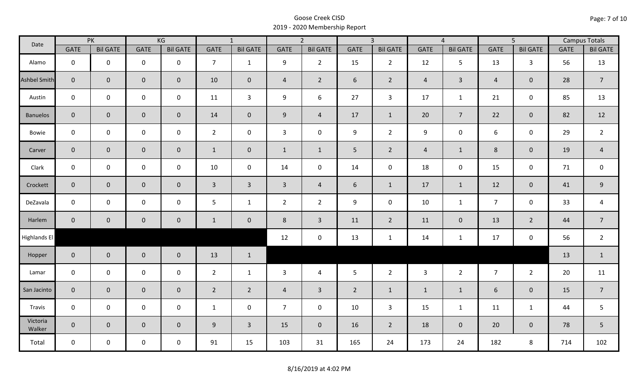| Date               | PK             |                 | KG                  |                 | $\overline{1}$ |                 | $\overline{2}$ |                 | $\overline{3}$ |                 | $\overline{4}$ |                 | $\overline{5}$ |                     | <b>Campus Totals</b> |                  |
|--------------------|----------------|-----------------|---------------------|-----------------|----------------|-----------------|----------------|-----------------|----------------|-----------------|----------------|-----------------|----------------|---------------------|----------------------|------------------|
|                    | <b>GATE</b>    | <b>Bil GATE</b> | <b>GATE</b>         | <b>Bil GATE</b> | <b>GATE</b>    | <b>Bil GATE</b> | <b>GATE</b>    | <b>Bil GATE</b> | <b>GATE</b>    | <b>Bil GATE</b> | <b>GATE</b>    | <b>Bil GATE</b> | <b>GATE</b>    | <b>Bil GATE</b>     | <b>GATE</b>          | <b>Bil GATE</b>  |
| Alamo              | $\mathbf{0}$   | $\mathbf 0$     | $\mathbf 0$         | $\mathbf 0$     | $\overline{7}$ | $\mathbf{1}$    | 9              | $\overline{2}$  | 15             | $2^{\circ}$     | 12             | 5               | 13             | $\overline{3}$      | 56                   | 13               |
| Ashbel Smith       | $\mathbf{0}$   | $\overline{0}$  | $\mathbf 0$         | $\mathbf{0}$    | 10             | $\mathbf 0$     | $\overline{4}$ | $2^{\circ}$     | 6              | $\overline{2}$  | $\overline{4}$ | $\mathbf{3}$    | $\overline{4}$ | $\mathbf{0}$        | 28                   | $\overline{7}$   |
| Austin             | $\mathbf 0$    | $\mathbf 0$     | $\mathsf{O}\xspace$ | $\mathbf 0$     | 11             | $\overline{3}$  | 9              | 6               | 27             | $\mathbf{3}$    | 17             | $\mathbf{1}$    | 21             | $\mathbf 0$         | 85                   | 13               |
| <b>Banuelos</b>    | $\overline{0}$ | $\mathbf 0$     | $\pmb{0}$           | $\overline{0}$  | 14             | $\overline{0}$  | 9              | $\overline{4}$  | 17             | $\mathbf{1}$    | 20             | $\overline{7}$  | 22             | $\mathbf{0}$        | 82                   | 12               |
| Bowie              | $\mathbf 0$    | $\mathbf 0$     | $\mathsf{O}\xspace$ | $\mathbf 0$     | $2^{\circ}$    | $\mathbf 0$     | $\mathbf{3}$   | $\mathbf 0$     | 9              | $2^{\circ}$     | 9              | $\mathsf{O}$    | 6              | $\mathbf 0$         | 29                   | $\overline{2}$   |
| Carver             | $\overline{0}$ | $\mathbf 0$     | $\pmb{0}$           | $\mathbf{0}$    | $\mathbf{1}$   | $\mathbf 0$     | $\mathbf{1}$   | $\mathbf{1}$    | 5              | $2^{\circ}$     | $\overline{4}$ | $\mathbf{1}$    | $\,8\,$        | $\mathbf 0$         | 19                   | $\overline{4}$   |
| Clark              | $\mathbf 0$    | $\mathbf 0$     | $\mathbf 0$         | 0               | $10\,$         | $\mathbf 0$     | 14             | $\mathbf 0$     | 14             | $\mathbf 0$     | 18             | $\mathsf{O}$    | 15             | $\mathbf 0$         | 71                   | $\mathsf 0$      |
| Crockett           | $\overline{0}$ | $\mathbf 0$     | $\mathbf 0$         | $\mathbf{0}$    | $\mathbf{3}$   | $\overline{3}$  | $\overline{3}$ | $\overline{4}$  | 6              | $\mathbf{1}$    | 17             | $\mathbf{1}$    | 12             | $\mathbf 0$         | 41                   | $\boldsymbol{9}$ |
| DeZavala           | $\mathbf 0$    | $\mathbf 0$     | $\mathbf 0$         | $\mathbf 0$     | 5              | $\mathbf{1}$    | $\overline{2}$ | $\overline{2}$  | 9              | $\mathbf 0$     | 10             | $\mathbf{1}$    | $\overline{7}$ | $\mathbf 0$         | 33                   | $\overline{a}$   |
| Harlem             | $\overline{0}$ | $\mathbf 0$     | $\mathbf 0$         | $\mathbf{0}$    | $\mathbf{1}$   | $\mathbf 0$     | 8              | $\mathbf{3}$    | 11             | $\overline{2}$  | 11             | $\mathbf{0}$    | 13             | $\overline{2}$      | 44                   | $\overline{7}$   |
| Highlands El       |                |                 |                     |                 |                |                 | 12             | $\pmb{0}$       | 13             | $\mathbf{1}$    | 14             | $\mathbf{1}$    | 17             | $\mathsf{O}\xspace$ | 56                   | $\overline{2}$   |
| Hopper             | $\overline{0}$ | $\overline{0}$  | $\mathbf 0$         | $\overline{0}$  | 13             | $\mathbf{1}$    |                |                 |                |                 |                |                 |                |                     | 13                   | $\mathbf{1}$     |
| Lamar              | $\mathbf 0$    | $\mathbf 0$     | $\mathbf 0$         | $\mathbf 0$     | $2^{\circ}$    | $\mathbf{1}$    | $\mathbf{3}$   | $\overline{4}$  | 5 <sup>5</sup> | $2^{\circ}$     | $\mathbf{3}$   | $2^{\circ}$     | $\overline{7}$ | $2^{\circ}$         | 20                   | 11               |
| San Jacinto        | $\overline{0}$ | $\mathbf{0}$    | $\mathbf 0$         | $\mathbf{0}$    | $\overline{2}$ | $2^{\circ}$     | $\overline{4}$ | $\overline{3}$  | $2^{\circ}$    | $\mathbf{1}$    | $\mathbf{1}$   | $\mathbf{1}$    | 6              | $\mathbf{0}$        | 15                   | $\overline{7}$   |
| Travis             | $\mathbf 0$    | $\mathbf 0$     | $\mathbf 0$         | $\mathbf 0$     | $\mathbf{1}$   | $\mathbf 0$     | $\overline{7}$ | $\mathbf 0$     | 10             | $\mathbf{3}$    | 15             | $\mathbf{1}$    | 11             | $\mathbf{1}$        | 44                   | 5                |
| Victoria<br>Walker | $\overline{0}$ | $\mathbf 0$     | $\mathbf 0$         | $\mathbf 0$     | 9              | $\overline{3}$  | 15             | $\mathbf{0}$    | 16             | $2^{\circ}$     | 18             | $\mathbf 0$     | 20             | $\mathbf{0}$        | 78                   | 5                |
| Total              | $\mathbf 0$    | $\mathbf 0$     | $\mathbf 0$         | $\mathbf 0$     | 91             | 15              | 103            | 31              | 165            | 24              | 173            | 24              | 182            | 8                   | 714                  | 102              |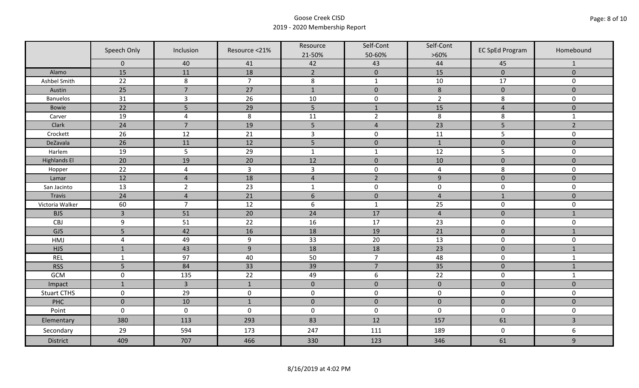|                     | Speech Only<br>Inclusion |                | Resource <21%  | Resource             | Self-Cont      | Self-Cont      | <b>EC SpEd Program</b> | Homebound               |
|---------------------|--------------------------|----------------|----------------|----------------------|----------------|----------------|------------------------|-------------------------|
|                     |                          |                |                | 21-50%               | 50-60%         | $>60\%$        |                        |                         |
|                     | $\mathbf 0$<br>15        | 40<br>11       | 41<br>18       | 42<br>$\overline{2}$ | 43             | 44<br>15       | 45<br>$\overline{0}$   | 1<br>$\overline{0}$     |
| Alamo               |                          |                |                |                      | $\mathbf 0$    |                |                        |                         |
| Ashbel Smith        | 22                       | $\,8\,$        | $\overline{7}$ | $\,8\,$              | $\mathbf 1$    | $10\,$         | 17                     | 0                       |
| Austin              | 25                       | $\overline{7}$ | 27             | $\mathbf 1$          | $\pmb{0}$      | $\,8\,$        | $\pmb{0}$              | $\mathbf 0$             |
| <b>Banuelos</b>     | 31                       | $\overline{3}$ | 26             | 10                   | $\pmb{0}$      | $\overline{2}$ | 8                      | $\mathbf 0$             |
| Bowie               | 22                       | 5              | 29             | 5                    | $\mathbf{1}$   | 15             | $\overline{4}$         | $\mathbf 0$             |
| Carver              | 19                       | $\overline{4}$ | 8              | 11                   | $\overline{2}$ | $\,8\,$        | 8                      | $\mathbf{1}$            |
| Clark               | 24                       | $\overline{7}$ | 19             | 5                    | $\overline{4}$ | 23             | 5                      | $\overline{2}$          |
| Crockett            | 26                       | 12             | 21             | $\overline{3}$       | $\pmb{0}$      | 11             | 5                      | $\mathsf{O}\xspace$     |
| DeZavala            | 26                       | 11             | 12             | 5                    | $\pmb{0}$      | $\mathbf 1$    | $\pmb{0}$              | $\pmb{0}$               |
| Harlem              | 19                       | 5              | 29             | $\mathbf 1$          | $\mathbf{1}$   | 12             | 5                      | 0                       |
| <b>Highlands El</b> | 20                       | 19             | 20             | 12                   | $\pmb{0}$      | 10             | $\pmb{0}$              | $\overline{0}$          |
| Hopper              | 22                       | $\overline{4}$ | $\overline{3}$ | $\overline{3}$       | $\pmb{0}$      | $\overline{a}$ | 8                      | 0                       |
| Lamar               | 12                       | $\overline{4}$ | 18             | $\sqrt{4}$           | $\overline{2}$ | $\overline{9}$ | $\pmb{0}$              | $\mathbf 0$             |
| San Jacinto         | 13                       | $\overline{2}$ | 23             | $\mathbf{1}$         | $\pmb{0}$      | $\pmb{0}$      | $\pmb{0}$              | 0                       |
| Travis              | 24                       | $\overline{4}$ | 21             | $6\,$                | $\pmb{0}$      | $\overline{4}$ | $\mathbf{1}$           | $\mathbf 0$             |
| Victoria Walker     | 60                       | $\overline{7}$ | 12             | $\boldsymbol{6}$     | $\mathbf 1$    | 25             | $\pmb{0}$              | 0                       |
| <b>BJS</b>          | $\overline{3}$           | 51             | 20             | 24                   | 17             | $\overline{4}$ | $\mathbf 0$            | $\mathbf{1}$            |
| CBJ                 | 9                        | 51             | 22             | 16                   | 17             | 23             | $\pmb{0}$              | $\mathbf 0$             |
| GJS                 | 5                        | 42             | 16             | 18                   | 19             | 21             | $\pmb{0}$              | $\mathbf{1}$            |
| HMJ                 | $\overline{4}$           | 49             | $9\,$          | 33                   | 20             | 13             | $\mathbf 0$            | 0                       |
| <b>HJS</b>          | $\mathbf{1}$             | 43             | $\overline{9}$ | 18                   | 18             | 23             | $\pmb{0}$              | $\mathbf{1}$            |
| <b>REL</b>          | $\mathbf{1}$             | 97             | 40             | 50                   | $\overline{7}$ | 48             | $\pmb{0}$              | $\mathbf{1}$            |
| <b>RSS</b>          | 5                        | 84             | 33             | 39                   | $\overline{7}$ | 35             | $\pmb{0}$              | $\mathbf{1}$            |
| <b>GCM</b>          | $\mathsf 0$              | 135            | 22             | 49                   | 6              | 22             | $\pmb{0}$              | $\mathbf{1}$            |
| Impact              | $1\,$                    | $\overline{3}$ | $1\,$          | $\mathbf 0$          | $\pmb{0}$      | $\pmb{0}$      | $\pmb{0}$              | $\overline{0}$          |
| <b>Stuart CTHS</b>  | $\mathsf 0$              | 29             | $\pmb{0}$      | $\pmb{0}$            | $\pmb{0}$      | $\pmb{0}$      | $\pmb{0}$              | 0                       |
| PHC                 | $\mathbf 0$              | 10             | $\mathbf{1}$   | $\mathbf 0$          | $\mathbf 0$    | $\mathbf 0$    | $\mathbf 0$            | $\mathbf 0$             |
| Point               | $\mathbf 0$              | $\pmb{0}$      | $\mathbf 0$    | $\pmb{0}$            | $\pmb{0}$      | $\mathbf 0$    | $\pmb{0}$              | $\mathbf 0$             |
| Elementary          | 380                      | 113            | 293            | 83                   | 12             | 157            | 61                     | $\overline{\mathbf{3}}$ |
| Secondary           | 29                       | 594            | 173            | 247                  | 111            | 189            | $\pmb{0}$              | 6                       |
| <b>District</b>     | 409                      | 707            | 466            | 330                  | 123            | 346            | 61                     | 9                       |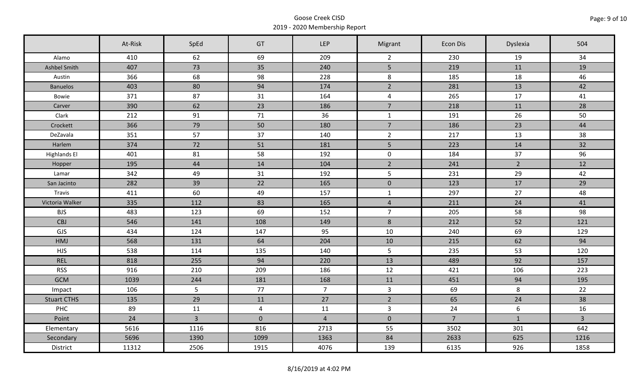|                     | At-Risk | SpEd           | GT             | LEP            | Migrant         | Econ Dis       | Dyslexia         | 504            |
|---------------------|---------|----------------|----------------|----------------|-----------------|----------------|------------------|----------------|
| Alamo               | 410     | 62             | 69             | 209            | $\overline{2}$  | 230            | 19               | 34             |
| Ashbel Smith        | 407     | 73             | 35             | 240            | 5 <sup>1</sup>  | 219            | 11               | 19             |
| Austin              | 366     | 68             | 98             | 228            | 8               | 185            | 18               | 46             |
| <b>Banuelos</b>     | 403     | 80             | 94             | 174            | $\overline{2}$  | 281            | 13               | 42             |
| Bowie               | 371     | 87             | 31             | 164            | $\overline{4}$  | 265            | 17               | 41             |
| Carver              | 390     | 62             | 23             | 186            | $\overline{7}$  | 218            | 11               | 28             |
| Clark               | 212     | 91             | 71             | 36             | $\mathbf{1}$    | 191            | 26               | 50             |
| Crockett            | 366     | 79             | 50             | 180            | $\overline{7}$  | 186            | 23               | 44             |
| DeZavala            | 351     | 57             | 37             | 140            | $\overline{2}$  | 217            | 13               | 38             |
| Harlem              | 374     | 72             | 51             | 181            | 5 <sub>1</sub>  | 223            | 14               | 32             |
| <b>Highlands El</b> | 401     | 81             | 58             | 192            | $\mathbf 0$     | 184            | 37               | 96             |
| Hopper              | 195     | 44             | 14             | 104            | $\overline{2}$  | 241            | $2^{\circ}$      | 12             |
| Lamar               | 342     | 49             | 31             | 192            | 5               | 231            | 29               | 42             |
| San Jacinto         | 282     | 39             | 22             | 165            | $\mathbf 0$     | 123            | 17               | 29             |
| Travis              | 411     | 60             | 49             | 157            | $\mathbf{1}$    | 297            | 27               | 48             |
| Victoria Walker     | 335     | 112            | 83             | 165            | $\overline{4}$  | 211            | 24               | 41             |
| <b>BJS</b>          | 483     | 123            | 69             | 152            | $\overline{7}$  | 205            | 58               | 98             |
| CBJ                 | 546     | 141            | 108            | 149            | 8               | 212            | 52               | 121            |
| GJS                 | 434     | 124            | 147            | 95             | 10              | 240            | 69               | 129            |
| HMJ                 | 568     | 131            | 64             | 204            | 10              | 215            | 62               | 94             |
| <b>HJS</b>          | 538     | 114            | 135            | 140            | $5\overline{)}$ | 235            | 53               | 120            |
| <b>REL</b>          | 818     | 255            | 94             | 220            | 13              | 489            | 92               | 157            |
| <b>RSS</b>          | 916     | 210            | 209            | 186            | 12              | 421            | 106              | 223            |
| <b>GCM</b>          | 1039    | 244            | 181            | 168            | 11              | 451            | 94               | 195            |
| Impact              | 106     | 5              | 77             | 7 <sup>7</sup> | $\mathbf{3}$    | 69             | 8                | 22             |
| <b>Stuart CTHS</b>  | 135     | 29             | 11             | 27             | $\overline{2}$  | 65             | 24               | 38             |
| PHC                 | 89      | 11             | $\overline{4}$ | 11             | $\mathbf{3}$    | 24             | $\boldsymbol{6}$ | 16             |
| Point               | 24      | $\overline{3}$ | $\mathbf 0$    | $\overline{4}$ | $\mathbf 0$     | $\overline{7}$ | $\mathbf{1}$     | $\overline{3}$ |
| Elementary          | 5616    | 1116           | 816            | 2713           | 55              | 3502           | 301              | 642            |
| Secondary           | 5696    | 1390           | 1099           | 1363           | 84              | 2633           | 625              | 1216           |
| District            | 11312   | 2506           | 1915           | 4076           | 139             | 6135           | 926              | 1858           |